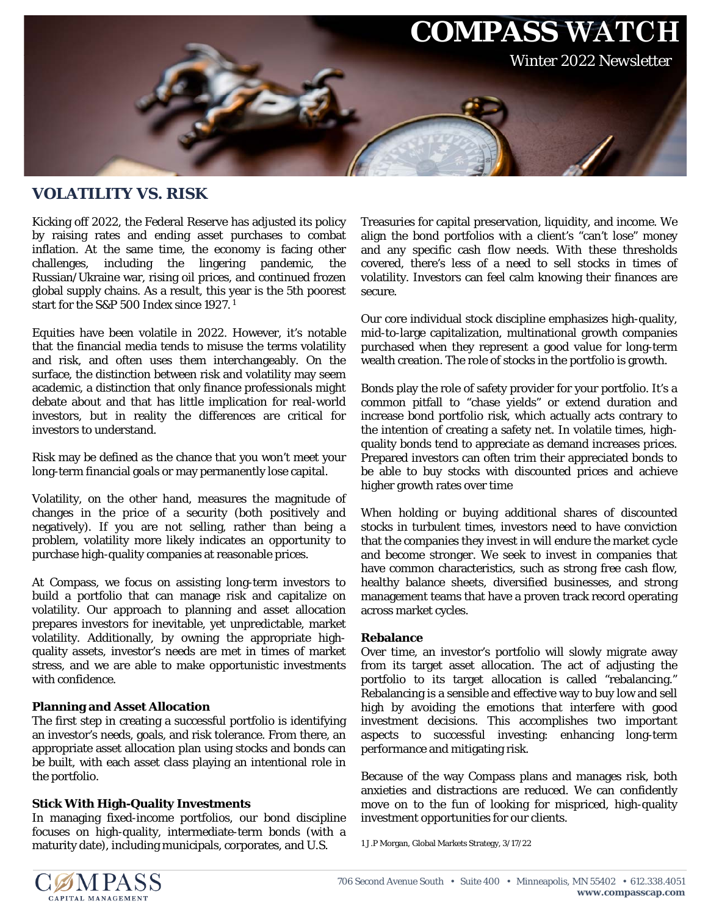

## **VOLATILITY VS. RISK**

Kicking off 2022, the Federal Reserve has adjusted its policy by raising rates and ending asset purchases to combat inflation. At the same time, the economy is facing other challenges, including the lingering pandemic, the including the lingering pandemic, the Russian/Ukraine war, rising oil prices, and continued frozen global supply chains. As a result, this year is the 5th poorest start for the S&P 500 Index since 1927. <sup>1</sup>

Equities have been volatile in 2022. However, it's notable that the financial media tends to misuse the terms volatility and risk, and often uses them interchangeably. On the surface, the distinction between risk and volatility may seem academic, a distinction that only finance professionals might debate about and that has little implication for real-world investors, but in reality the differences are critical for investors to understand.

Risk may be defined as the chance that you won't meet your long-term financial goals or may permanently lose capital.

Volatility, on the other hand, measures the magnitude of changes in the price of a security (both positively and negatively). If you are not selling, rather than being a problem, volatility more likely indicates an opportunity to purchase high-quality companies at reasonable prices.

At Compass, we focus on assisting long-term investors to build a portfolio that can manage risk and capitalize on volatility. Our approach to planning and asset allocation prepares investors for inevitable, yet unpredictable, market volatility. Additionally, by owning the appropriate highquality assets, investor's needs are met in times of market stress, and we are able to make opportunistic investments with confidence.

## **Planning and Asset Allocation**

The first step in creating a successful portfolio is identifying an investor's needs, goals, and risk tolerance. From there, an appropriate asset allocation plan using stocks and bonds can be built, with each asset class playing an intentional role in the portfolio.

## **Stick With High-Quality Investments**

In managing fixed-income portfolios, our bond discipline focuses on high-quality, intermediate-term bonds (with a maturity date), including municipals, corporates, and U.S.

Treasuries for capital preservation, liquidity, and income. We align the bond portfolios with a client's "can't lose" money and any specific cash flow needs. With these thresholds covered, there's less of a need to sell stocks in times of volatility. Investors can feel calm knowing their finances are secure.

Our core individual stock discipline emphasizes high-quality, mid-to-large capitalization, multinational growth companies purchased when they represent a good value for long-term wealth creation. The role of stocks in the portfolio is growth.

Bonds play the role of safety provider for your portfolio. It's a common pitfall to "chase yields" or extend duration and increase bond portfolio risk, which actually acts contrary to the intention of creating a safety net. In volatile times, highquality bonds tend to appreciate as demand increases prices. Prepared investors can often trim their appreciated bonds to be able to buy stocks with discounted prices and achieve higher growth rates over time

When holding or buying additional shares of discounted stocks in turbulent times, investors need to have conviction that the companies they invest in will endure the market cycle and become stronger. We seek to invest in companies that have common characteristics, such as strong free cash flow, healthy balance sheets, diversified businesses, and strong management teams that have a proven track record operating across market cycles.

## **Rebalance**

Over time, an investor's portfolio will slowly migrate away from its target asset allocation. The act of adjusting the portfolio to its target allocation is called "rebalancing." Rebalancing is a sensible and effective way to buy low and sell high by avoiding the emotions that interfere with good investment decisions. This accomplishes two important aspects to successful investing: enhancing long-term performance and mitigating risk.

Because of the way Compass plans and manages risk, both anxieties and distractions are reduced. We can confidently move on to the fun of looking for mispriced, high-quality investment opportunities for our clients.

1 J.P Morgan, Global Markets Strategy, 3/17/22